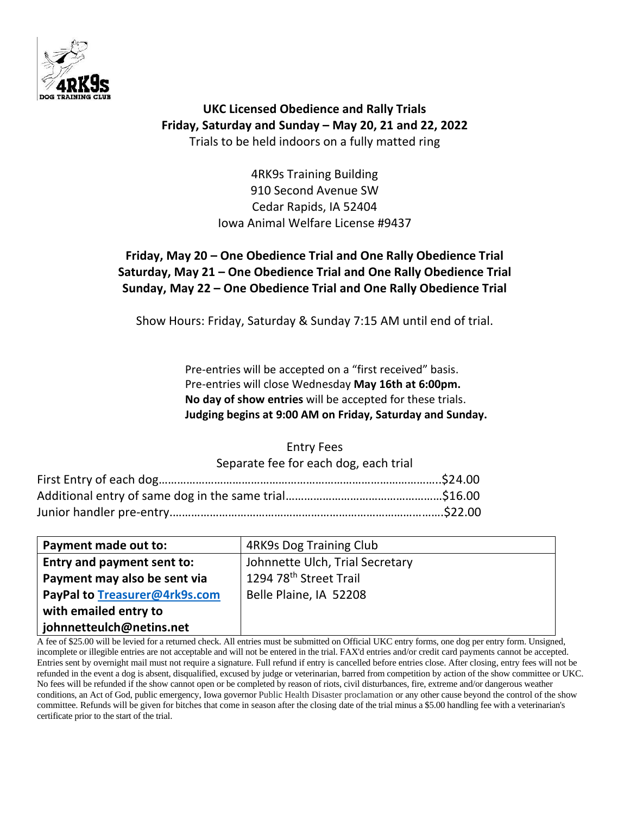

**UKC Licensed Obedience and Rally Trials Friday, Saturday and Sunday – May 20, 21 and 22, 2022** Trials to be held indoors on a fully matted ring

> 4RK9s Training Building 910 Second Avenue SW Cedar Rapids, IA 52404 Iowa Animal Welfare License #9437

# **Friday, May 20 – One Obedience Trial and One Rally Obedience Trial Saturday, May 21 – One Obedience Trial and One Rally Obedience Trial Sunday, May 22 – One Obedience Trial and One Rally Obedience Trial**

Show Hours: Friday, Saturday & Sunday 7:15 AM until end of trial.

Pre-entries will be accepted on a "first received" basis. Pre-entries will close Wednesday **May 16th at 6:00pm. No day of show entries** will be accepted for these trials. **Judging begins at 9:00 AM on Friday, Saturday and Sunday.**

# Entry Fees

Separate fee for each dog, each trial

| Payment made out to:          | 4RK9s Dog Training Club            |
|-------------------------------|------------------------------------|
| Entry and payment sent to:    | Johnnette Ulch, Trial Secretary    |
| Payment may also be sent via  | 1294 78 <sup>th</sup> Street Trail |
| PayPal to Treasurer@4rk9s.com | Belle Plaine, IA 52208             |
| with emailed entry to         |                                    |
| johnnetteulch@netins.net      |                                    |

A fee of \$25.00 will be levied for a returned check. All entries must be submitted on Official UKC entry forms, one dog per entry form. Unsigned, incomplete or illegible entries are not acceptable and will not be entered in the trial. FAX'd entries and/or credit card payments cannot be accepted. Entries sent by overnight mail must not require a signature. Full refund if entry is cancelled before entries close. After closing, entry fees will not be refunded in the event a dog is absent, disqualified, excused by judge or veterinarian, barred from competition by action of the show committee or UKC. No fees will be refunded if the show cannot open or be completed by reason of riots, civil disturbances, fire, extreme and/or dangerous weather conditions, an Act of God, public emergency, Iowa governor Public Health Disaster proclamation or any other cause beyond the control of the show committee. Refunds will be given for bitches that come in season after the closing date of the trial minus a \$5.00 handling fee with a veterinarian's certificate prior to the start of the trial.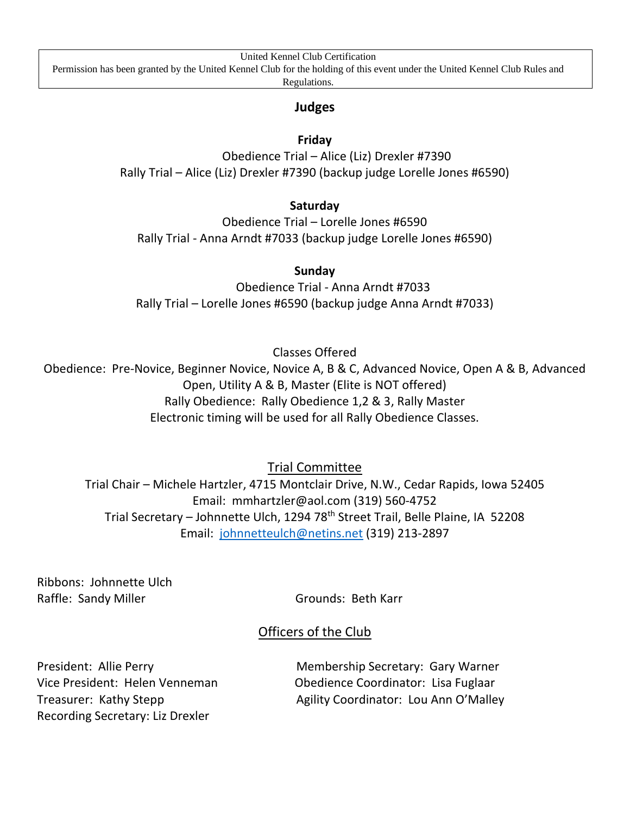United Kennel Club Certification

Permission has been granted by the United Kennel Club for the holding of this event under the United Kennel Club Rules and

Regulations.

# **Judges**

# **Friday**

Obedience Trial – Alice (Liz) Drexler #7390 Rally Trial – Alice (Liz) Drexler #7390 (backup judge Lorelle Jones #6590)

## **Saturday**

Obedience Trial – Lorelle Jones #6590 Rally Trial - Anna Arndt #7033 (backup judge Lorelle Jones #6590)

## **Sunday**

Obedience Trial - Anna Arndt #7033 Rally Trial – Lorelle Jones #6590 (backup judge Anna Arndt #7033)

Classes Offered

Obedience: Pre-Novice, Beginner Novice, Novice A, B & C, Advanced Novice, Open A & B, Advanced Open, Utility A & B, Master (Elite is NOT offered) Rally Obedience: Rally Obedience 1,2 & 3, Rally Master Electronic timing will be used for all Rally Obedience Classes.

Trial Committee

Trial Chair – Michele Hartzler, 4715 Montclair Drive, N.W., Cedar Rapids, Iowa 52405 Email: mmhartzler@aol.com (319) 560-4752 Trial Secretary – Johnnette Ulch, 1294 78th Street Trail, Belle Plaine, IA 52208 Email: [johnnetteulch@netins.net](mailto:johnnetteulch@netins.net) (319) 213-2897

Ribbons: Johnnette Ulch Raffle: Sandy Miller Grounds: Beth Karr

# Officers of the Club

Recording Secretary: Liz Drexler

President: Allie Perry **Membership Secretary: Gary Warner** Vice President: Helen Venneman Obedience Coordinator: Lisa Fuglaar Treasurer: Kathy Stepp **Agility Coordinator: Lou Ann O'Malley**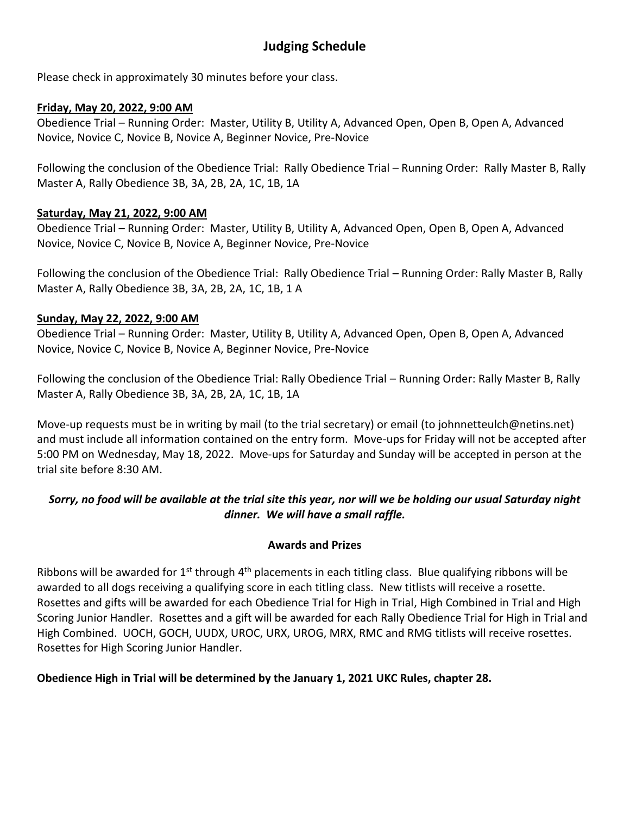# **Judging Schedule**

Please check in approximately 30 minutes before your class.

### **Friday, May 20, 2022, 9:00 AM**

Obedience Trial – Running Order: Master, Utility B, Utility A, Advanced Open, Open B, Open A, Advanced Novice, Novice C, Novice B, Novice A, Beginner Novice, Pre-Novice

Following the conclusion of the Obedience Trial: Rally Obedience Trial – Running Order: Rally Master B, Rally Master A, Rally Obedience 3B, 3A, 2B, 2A, 1C, 1B, 1A

## **Saturday, May 21, 2022, 9:00 AM**

Obedience Trial – Running Order: Master, Utility B, Utility A, Advanced Open, Open B, Open A, Advanced Novice, Novice C, Novice B, Novice A, Beginner Novice, Pre-Novice

Following the conclusion of the Obedience Trial: Rally Obedience Trial – Running Order: Rally Master B, Rally Master A, Rally Obedience 3B, 3A, 2B, 2A, 1C, 1B, 1 A

## **Sunday, May 22, 2022, 9:00 AM**

Obedience Trial – Running Order: Master, Utility B, Utility A, Advanced Open, Open B, Open A, Advanced Novice, Novice C, Novice B, Novice A, Beginner Novice, Pre-Novice

Following the conclusion of the Obedience Trial: Rally Obedience Trial – Running Order: Rally Master B, Rally Master A, Rally Obedience 3B, 3A, 2B, 2A, 1C, 1B, 1A

Move-up requests must be in writing by mail (to the trial secretary) or email (to johnnetteulch@netins.net) and must include all information contained on the entry form. Move-ups for Friday will not be accepted after 5:00 PM on Wednesday, May 18, 2022. Move-ups for Saturday and Sunday will be accepted in person at the trial site before 8:30 AM.

# *Sorry, no food will be available at the trial site this year, nor will we be holding our usual Saturday night dinner. We will have a small raffle.*

### **Awards and Prizes**

Ribbons will be awarded for  $1<sup>st</sup>$  through  $4<sup>th</sup>$  placements in each titling class. Blue qualifying ribbons will be awarded to all dogs receiving a qualifying score in each titling class. New titlists will receive a rosette. Rosettes and gifts will be awarded for each Obedience Trial for High in Trial, High Combined in Trial and High Scoring Junior Handler. Rosettes and a gift will be awarded for each Rally Obedience Trial for High in Trial and High Combined. UOCH, GOCH, UUDX, UROC, URX, UROG, MRX, RMC and RMG titlists will receive rosettes. Rosettes for High Scoring Junior Handler.

# **Obedience High in Trial will be determined by the January 1, 2021 UKC Rules, chapter 28.**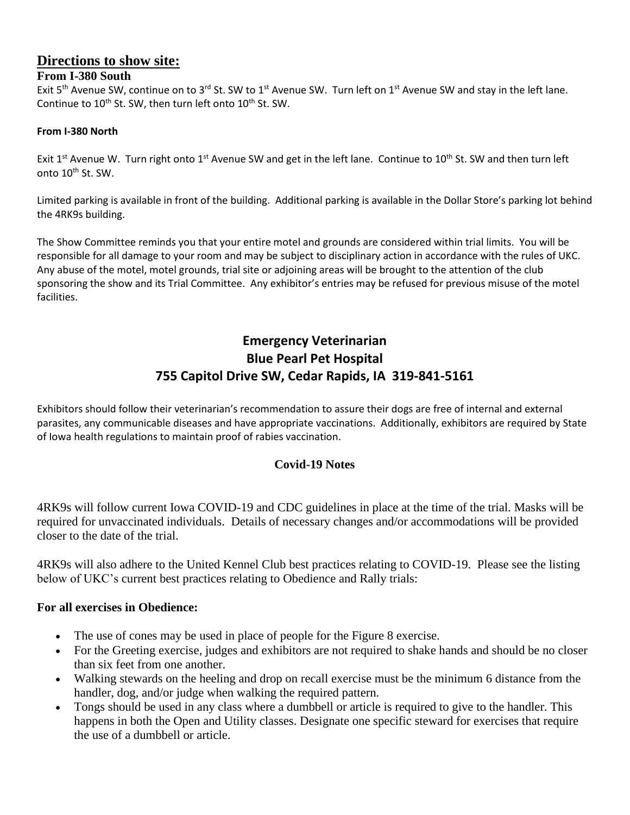# **Directions to show site:**

# **From I-380 South**

Exit 5<sup>th</sup> Avenue SW, continue on to 3<sup>rd</sup> St. SW to 1<sup>st</sup> Avenue SW. Turn left on 1<sup>st</sup> Avenue SW and stay in the left lane. Continue to 10<sup>th</sup> St. SW, then turn left onto 10<sup>th</sup> St. SW.

#### **From I-380 North**

Exit 1<sup>st</sup> Avenue W. Turn right onto 1<sup>st</sup> Avenue SW and get in the left lane. Continue to 10<sup>th</sup> St. SW and then turn left onto 10<sup>th</sup> St. SW.

Limited parking is available in front of the building. Additional parking is available in the Dollar Store's parking lot behind the 4RK9s building.

The Show Committee reminds you that your entire motel and grounds are considered within trial limits. You will be responsible for all damage to your room and may be subject to disciplinary action in accordance with the rules of UKC. Any abuse of the motel, motel grounds, trial site or adjoining areas will be brought to the attention of the club sponsoring the show and its Trial Committee. Any exhibitor's entries may be refused for previous misuse of the motel facilities.

# **Emergency Veterinarian Blue Pearl Pet Hospital 755 Capitol Drive SW, Cedar Rapids, IA 319-841-5161**

Exhibitors should follow their veterinarian's recommendation to assure their dogs are free of internal and external parasites, any communicable diseases and have appropriate vaccinations. Additionally, exhibitors are required by State of Iowa health regulations to maintain proof of rabies vaccination.

# **Covid-19 Notes**

4RK9s will follow current Iowa COVID-19 and CDC guidelines in place at the time of the trial. Masks will be required for unvaccinated individuals. Details of necessary changes and/or accommodations will be provided closer to the date of the trial.

4RK9s will also adhere to the United Kennel Club best practices relating to COVID-19. Please see the listing below of UKC's current best practices relating to Obedience and Rally trials:

### **For all exercises in Obedience:**

- The use of cones may be used in place of people for the Figure 8 exercise.
- For the Greeting exercise, judges and exhibitors are not required to shake hands and should be no closer than six feet from one another.
- Walking stewards on the heeling and drop on recall exercise must be the minimum 6 distance from the handler, dog, and/or judge when walking the required pattern.
- Tongs should be used in any class where a dumbbell or article is required to give to the handler. This happens in both the Open and Utility classes. Designate one specific steward for exercises that require the use of a dumbbell or article.